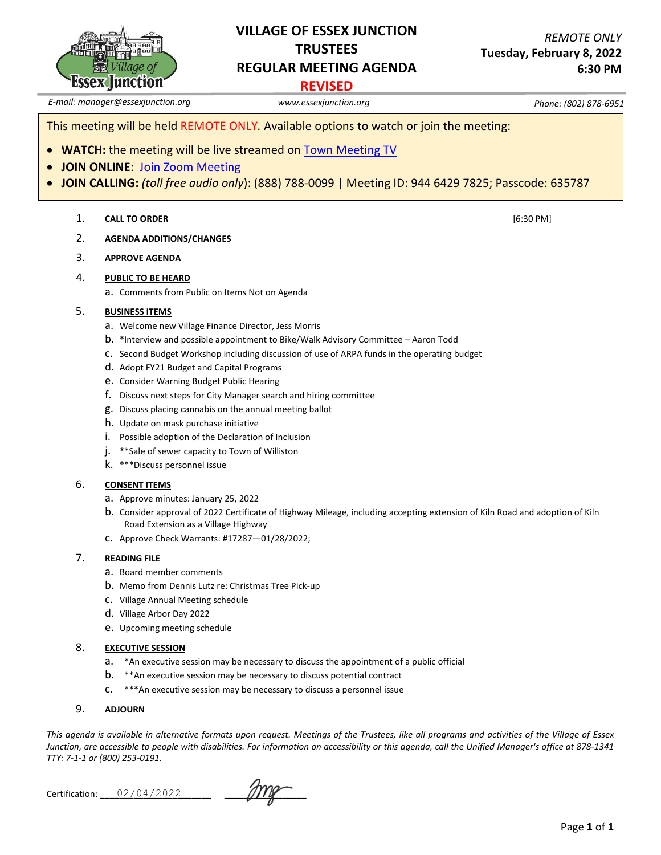

## **VILLAGE OF ESSEX JUNCTION TRUSTEES REGULAR MEETING AGENDA**

## **REVISED**

*E-mail: manager@essexjunction.org www.essexjunction.org Phone: (802) 878-6951*

This meeting will be held REMOTE ONLY*.* Available options to watch or join the meeting:

- **WATCH:** the meeting will be live streamed on [Town Meeting TV](https://www.youtube.com/playlist?app=desktop&list=PLljLFn4BZd2NDBcfrHVdIR7eUeko7haxg)
- **JOIN ONLINE**: [Join Zoom Meeting](https://zoom.us/j/94464297825?pwd=T0RTL0VteHZXNHlteTJpQi83WUg4QT09)
- **JOIN CALLING:** *(toll free audio only*): (888) 788-0099 | Meeting ID: 944 6429 7825; Passcode: 635787

#### 1. **CALL TO ORDER** [6:30 PM]

2. **AGENDA ADDITIONS/CHANGES**

#### 3. **APPROVE AGENDA**

#### 4. **PUBLIC TO BE HEARD**

a. Comments from Public on Items Not on Agenda

#### 5. **BUSINESS ITEMS**

- a. Welcome new Village Finance Director, Jess Morris
- b. \*Interview and possible appointment to Bike/Walk Advisory Committee Aaron Todd
- c. Second Budget Workshop including discussion of use of ARPA funds in the operating budget
- d. Adopt FY21 Budget and Capital Programs
- e. Consider Warning Budget Public Hearing
- f. Discuss next steps for City Manager search and hiring committee
- g. Discuss placing cannabis on the annual meeting ballot
- h. Update on mask purchase initiative
- i. Possible adoption of the Declaration of Inclusion
- j. \*\*Sale of sewer capacity to Town of Williston
- k. \*\*\*Discuss personnel issue

#### 6. **CONSENT ITEMS**

- a. Approve minutes: January 25, 2022
- b. Consider approval of 2022 Certificate of Highway Mileage, including accepting extension of Kiln Road and adoption of Kiln Road Extension as a Village Highway
- c. Approve Check Warrants: #17287—01/28/2022;

#### 7. **READING FILE**

- a. Board member comments
- b. Memo from Dennis Lutz re: Christmas Tree Pick-up
- c. Village Annual Meeting schedule
- d. Village Arbor Day 2022
- e. Upcoming meeting schedule

#### 8. **EXECUTIVE SESSION**

- a. \*An executive session may be necessary to discuss the appointment of a public official
- b. \*\*An executive session may be necessary to discuss potential contract
- c. \*\*\*An executive session may be necessary to discuss a personnel issue

#### 9. **ADJOURN**

*This agenda is available in alternative formats upon request. Meetings of the Trustees, like all programs and activities of the Village of Essex Junction, are accessible to people with disabilities. For information on accessibility or this agenda, call the Unified Manager's office at 878-1341 TTY: 7-1-1 or (800) 253-0191.*

Certification: \_\_\_\_\_\_\_\_\_\_\_\_\_\_\_\_\_\_\_\_\_\_\_ \_\_\_\_\_\_\_\_\_\_\_\_\_\_\_\_\_ 02/04/2022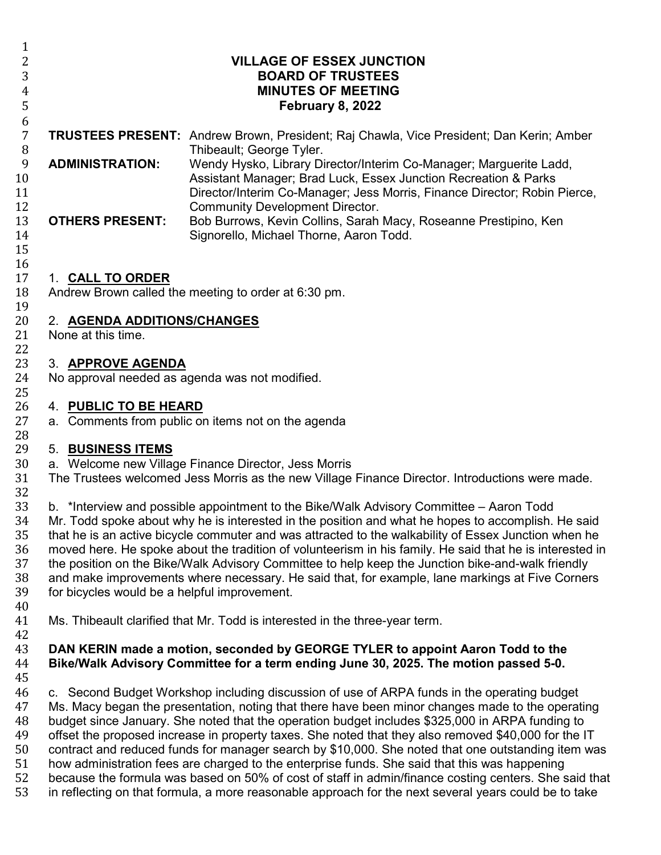| 1<br>2<br>3<br>$\overline{4}$<br>5           | <b>VILLAGE OF ESSEX JUNCTION</b><br><b>BOARD OF TRUSTEES</b><br><b>MINUTES OF MEETING</b><br><b>February 8, 2022</b>                                                                                                                                                                                                                                                                                                                                                                                                                                                                                                                                                      |                                                                                                                                                                                                                                                                                                                                                                                                                                                                                                                                                                                                                                                                                                                                                                                                                                     |  |
|----------------------------------------------|---------------------------------------------------------------------------------------------------------------------------------------------------------------------------------------------------------------------------------------------------------------------------------------------------------------------------------------------------------------------------------------------------------------------------------------------------------------------------------------------------------------------------------------------------------------------------------------------------------------------------------------------------------------------------|-------------------------------------------------------------------------------------------------------------------------------------------------------------------------------------------------------------------------------------------------------------------------------------------------------------------------------------------------------------------------------------------------------------------------------------------------------------------------------------------------------------------------------------------------------------------------------------------------------------------------------------------------------------------------------------------------------------------------------------------------------------------------------------------------------------------------------------|--|
| 6<br>$\overline{7}$<br>8                     |                                                                                                                                                                                                                                                                                                                                                                                                                                                                                                                                                                                                                                                                           | <b>TRUSTEES PRESENT:</b> Andrew Brown, President; Raj Chawla, Vice President; Dan Kerin; Amber<br>Thibeault; George Tyler.                                                                                                                                                                                                                                                                                                                                                                                                                                                                                                                                                                                                                                                                                                          |  |
| 9<br>10<br>11<br>12                          | <b>ADMINISTRATION:</b>                                                                                                                                                                                                                                                                                                                                                                                                                                                                                                                                                                                                                                                    | Wendy Hysko, Library Director/Interim Co-Manager; Marguerite Ladd,<br>Assistant Manager; Brad Luck, Essex Junction Recreation & Parks<br>Director/Interim Co-Manager; Jess Morris, Finance Director; Robin Pierce,<br><b>Community Development Director.</b>                                                                                                                                                                                                                                                                                                                                                                                                                                                                                                                                                                        |  |
| 13<br>14<br>15                               | <b>OTHERS PRESENT:</b>                                                                                                                                                                                                                                                                                                                                                                                                                                                                                                                                                                                                                                                    | Bob Burrows, Kevin Collins, Sarah Macy, Roseanne Prestipino, Ken<br>Signorello, Michael Thorne, Aaron Todd.                                                                                                                                                                                                                                                                                                                                                                                                                                                                                                                                                                                                                                                                                                                         |  |
| 16<br>17<br>18<br>19                         | 1. CALL TO ORDER                                                                                                                                                                                                                                                                                                                                                                                                                                                                                                                                                                                                                                                          | Andrew Brown called the meeting to order at 6:30 pm.                                                                                                                                                                                                                                                                                                                                                                                                                                                                                                                                                                                                                                                                                                                                                                                |  |
| 20<br>21<br>22                               | 2. AGENDA ADDITIONS/CHANGES<br>None at this time.                                                                                                                                                                                                                                                                                                                                                                                                                                                                                                                                                                                                                         |                                                                                                                                                                                                                                                                                                                                                                                                                                                                                                                                                                                                                                                                                                                                                                                                                                     |  |
| 23<br>24<br>25                               | 3. APPROVE AGENDA                                                                                                                                                                                                                                                                                                                                                                                                                                                                                                                                                                                                                                                         | No approval needed as agenda was not modified.                                                                                                                                                                                                                                                                                                                                                                                                                                                                                                                                                                                                                                                                                                                                                                                      |  |
| 26<br>27<br>28                               | 4. PUBLIC TO BE HEARD                                                                                                                                                                                                                                                                                                                                                                                                                                                                                                                                                                                                                                                     | a. Comments from public on items not on the agenda                                                                                                                                                                                                                                                                                                                                                                                                                                                                                                                                                                                                                                                                                                                                                                                  |  |
| 29<br>30<br>31<br>32                         | 5. BUSINESS ITEMS                                                                                                                                                                                                                                                                                                                                                                                                                                                                                                                                                                                                                                                         | a. Welcome new Village Finance Director, Jess Morris<br>The Trustees welcomed Jess Morris as the new Village Finance Director. Introductions were made.                                                                                                                                                                                                                                                                                                                                                                                                                                                                                                                                                                                                                                                                             |  |
| 33<br>34<br>35<br>36<br>37<br>38<br>39       | b. *Interview and possible appointment to the Bike/Walk Advisory Committee - Aaron Todd<br>Mr. Todd spoke about why he is interested in the position and what he hopes to accomplish. He said<br>that he is an active bicycle commuter and was attracted to the walkability of Essex Junction when he<br>moved here. He spoke about the tradition of volunteerism in his family. He said that he is interested in<br>the position on the Bike/Walk Advisory Committee to help keep the Junction bike-and-walk friendly<br>and make improvements where necessary. He said that, for example, lane markings at Five Corners<br>for bicycles would be a helpful improvement. |                                                                                                                                                                                                                                                                                                                                                                                                                                                                                                                                                                                                                                                                                                                                                                                                                                     |  |
| 40<br>41<br>42                               |                                                                                                                                                                                                                                                                                                                                                                                                                                                                                                                                                                                                                                                                           | Ms. Thibeault clarified that Mr. Todd is interested in the three-year term.                                                                                                                                                                                                                                                                                                                                                                                                                                                                                                                                                                                                                                                                                                                                                         |  |
| 43<br>44<br>45                               |                                                                                                                                                                                                                                                                                                                                                                                                                                                                                                                                                                                                                                                                           | DAN KERIN made a motion, seconded by GEORGE TYLER to appoint Aaron Todd to the<br>Bike/Walk Advisory Committee for a term ending June 30, 2025. The motion passed 5-0.                                                                                                                                                                                                                                                                                                                                                                                                                                                                                                                                                                                                                                                              |  |
| 46<br>47<br>48<br>49<br>50<br>51<br>52<br>53 |                                                                                                                                                                                                                                                                                                                                                                                                                                                                                                                                                                                                                                                                           | c. Second Budget Workshop including discussion of use of ARPA funds in the operating budget<br>Ms. Macy began the presentation, noting that there have been minor changes made to the operating<br>budget since January. She noted that the operation budget includes \$325,000 in ARPA funding to<br>offset the proposed increase in property taxes. She noted that they also removed \$40,000 for the IT<br>contract and reduced funds for manager search by \$10,000. She noted that one outstanding item was<br>how administration fees are charged to the enterprise funds. She said that this was happening<br>because the formula was based on 50% of cost of staff in admin/finance costing centers. She said that<br>in reflecting on that formula, a more reasonable approach for the next several years could be to take |  |
|                                              |                                                                                                                                                                                                                                                                                                                                                                                                                                                                                                                                                                                                                                                                           |                                                                                                                                                                                                                                                                                                                                                                                                                                                                                                                                                                                                                                                                                                                                                                                                                                     |  |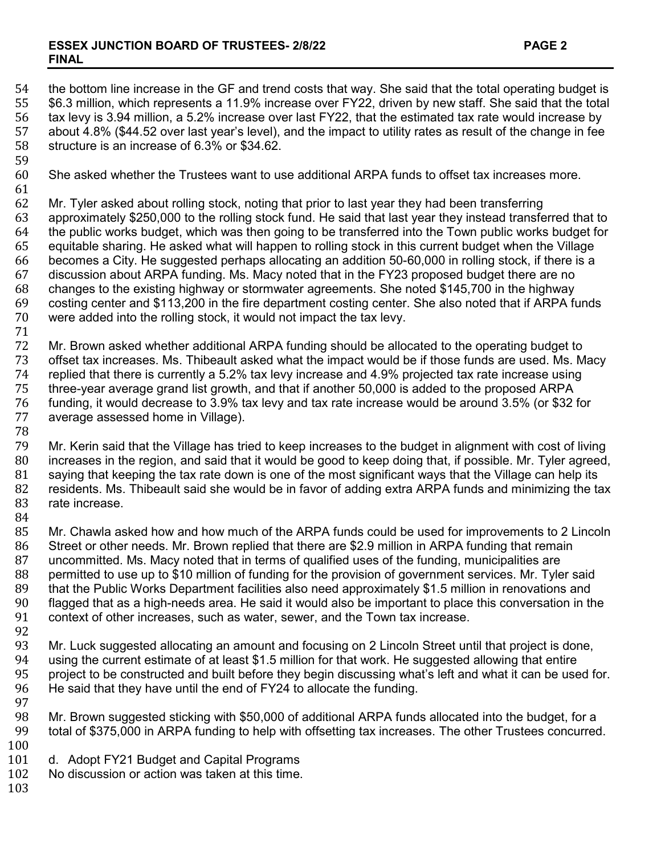### **ESSEX JUNCTION BOARD OF TRUSTEES- 2/8/22 PAGE 2 FINAL**

54 the bottom line increase in the GF and trend costs that way. She said that the total operating budget is 55<br>55 \$6.3 million, which represents a 11.9% increase over FY22, driven by new staff. She said that the total 55 \$6.3 million, which represents a 11.9% increase over FY22, driven by new staff. She said that the total 56<br>56 tax levy is 3.94 million, a 5.2% increase over last FY22, that the estimated tax rate would increase by 56 tax levy is 3.94 million, a 5.2% increase over last FY22, that the estimated tax rate would increase by 57 about 4.8% (\$44.52 over last year's level), and the impact to utility rates as result of the change in fee<br>58 structure is an increase of 6.3% or \$34.62. structure is an increase of 6.3% or \$34.62. 59<br>60 She asked whether the Trustees want to use additional ARPA funds to offset tax increases more. 61<br>62 62 Mr. Tyler asked about rolling stock, noting that prior to last year they had been transferring<br>63 approximately \$250,000 to the rolling stock fund. He said that last year they instead transfe 63 approximately \$250,000 to the rolling stock fund. He said that last year they instead transferred that to 64 the public works budget, which was then going to be transferred into the Town public works budget for 65<br>65 equitable sharing. He asked what will happen to rolling stock in this current budget when the Village 65 equitable sharing. He asked what will happen to rolling stock in this current budget when the Village 66 becomes a City. He suggested perhaps allocating an addition 50-60,000 in rolling stock, if there is a 67 discussion about ARPA funding. Ms. Macy noted that in the FY23 proposed budget there are no 68 changes to the existing highway or stormwater agreements. She noted \$145,700 in the highway 69 costing center and \$113,200 in the fire department costing center. She also noted that if ARPA funds were added into the rolling stock, it would not impact the tax levy. 71 72 Mr. Brown asked whether additional ARPA funding should be allocated to the operating budget to<br>73 offset tax increases. Ms. Thibeault asked what the impact would be if those funds are used. Ms. M 73 offset tax increases. Ms. Thibeault asked what the impact would be if those funds are used. Ms. Macy<br>74 replied that there is currently a 5.2% tax levy increase and 4.9% proiected tax rate increase using 74 replied that there is currently a 5.2% tax levy increase and 4.9% projected tax rate increase using<br>75 three-year average grand list growth, and that if another 50,000 is added to the proposed ARPA 75 three-year average grand list growth, and that if another 50,000 is added to the proposed ARPA 76 funding, it would decrease to 3.9% tax levy and tax rate increase would be around 3.5% (or \$32 for average assessed home in Village). 78 79 Mr. Kerin said that the Village has tried to keep increases to the budget in alignment with cost of living<br>80 increases in the region, and said that it would be good to keep doing that, if possible, Mr. Tyler agreed, 80 increases in the region, and said that it would be good to keep doing that, if possible. Mr. Tyler agreed, 81 saying that keeping the tax rate down is one of the most significant ways that the Village can help its 81 saying that keeping the tax rate down is one of the most significant ways that the Village can help its<br>82 residents. Ms. Thibeault said she would be in favor of adding extra ARPA funds and minimizing the ta 82 residents. Ms. Thibeault said she would be in favor of adding extra ARPA funds and minimizing the tax<br>83 rate increase. rate increase. 84<br>85 85 Mr. Chawla asked how and how much of the ARPA funds could be used for improvements to 2 Lincoln<br>86 Street or other needs. Mr. Brown replied that there are \$2.9 million in ARPA funding that remain 86 Street or other needs. Mr. Brown replied that there are \$2.9 million in ARPA funding that remain<br>87 Uncommitted. Ms. Macy noted that in terms of qualified uses of the funding. municipalities are 87 uncommitted. Ms. Macy noted that in terms of qualified uses of the funding, municipalities are<br>88 permitted to use up to \$10 million of funding for the provision of government services. Mr. Tyle 88 permitted to use up to \$10 million of funding for the provision of government services. Mr. Tyler said 89 that the Public Works Department facilities also need approximately \$1.5 million in renovations and 800 flaca<br>80 flagoed that as a high-needs area. He said it would also be important to place this conversation in the 90 flagged that as a high-needs area. He said it would also be important to place this conversation in the 91<br>91 context of other increases, such as water, sewer, and the Town tax increase. context of other increases, such as water, sewer, and the Town tax increase. 92<br>93 93 Mr. Luck suggested allocating an amount and focusing on 2 Lincoln Street until that project is done,<br>94 using the current estimate of at least \$1.5 million for that work. He suggested allowing that entire 94 using the current estimate of at least \$1.5 million for that work. He suggested allowing that entire<br>95 project to be constructed and built before they begin discussing what's left and what it can be use 95 project to be constructed and built before they begin discussing what's left and what it can be used for.<br>96 He said that they have until the end of FY24 to allocate the funding. He said that they have until the end of FY24 to allocate the funding. 97<br>98 98 Mr. Brown suggested sticking with \$50,000 of additional ARPA funds allocated into the budget, for a total of \$375,000 in ARPA funding to help with offsetting tax increases. The other Trustees concurred.

- 
- $\begin{array}{c} 100 \\ 101 \end{array}$ 101 d. Adopt FY21 Budget and Capital Programs<br>102 No discussion or action was taken at this time.
- No discussion or action was taken at this time.
- 103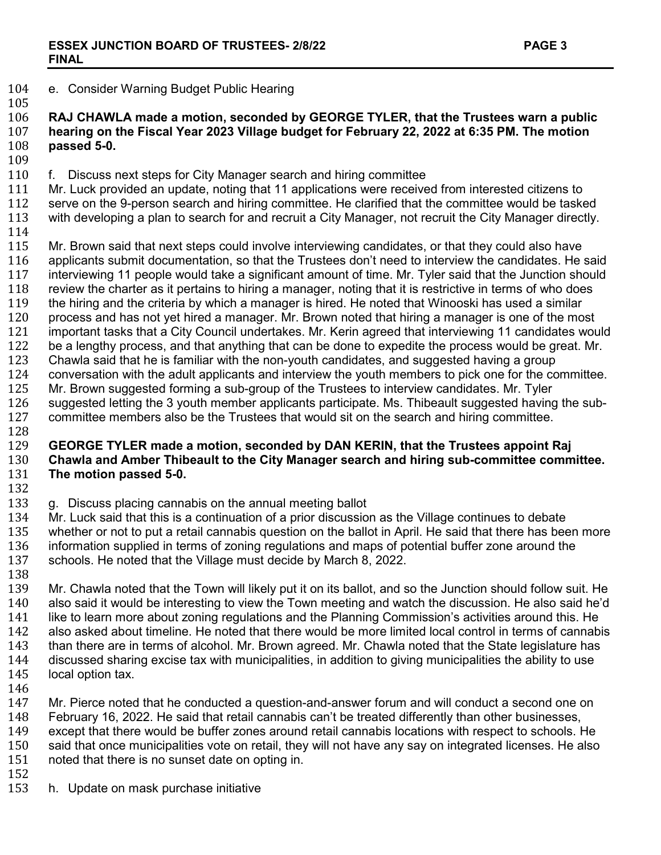104 e. Consider Warning Budget Public Hearing

105<br>106 **RAJ CHAWLA made a motion, seconded by GEORGE TYLER, that the Trustees warn a public hearing on the Fiscal Year 2023 Village budget for February 22, 2022 at 6:35 PM. The motion passed 5-0.** 

109<br>110

110 f. Discuss next steps for City Manager search and hiring committee<br>111 Mr. Luck provided an update, noting that 11 applications were receive

111 Mr. Luck provided an update, noting that 11 applications were received from interested citizens to<br>112 serve on the 9-person search and hiring committee. He clarified that the committee would be taske 112 serve on the 9-person search and hiring committee. He clarified that the committee would be tasked<br>113 with developing a plan to search for and recruit a City Manager, not recruit the City Manager directly. with developing a plan to search for and recruit a City Manager, not recruit the City Manager directly.

114<br>115

115 Mr. Brown said that next steps could involve interviewing candidates, or that they could also have 116 applicants submit documentation, so that the Trustees don't need to interview the candidates. He 116 applicants submit documentation, so that the Trustees don't need to interview the candidates. He said<br>117 interviewing 11 people would take a significant amount of time. Mr. Tyler said that the Junction should 117 interviewing 11 people would take a significant amount of time. Mr. Tyler said that the Junction should 118 review the charter as it pertains to hiring a manager, noting that it is restrictive in terms of who does 118 review the charter as it pertains to hiring a manager, noting that it is restrictive in terms of who does<br>119 the hiring and the criteria by which a manager is hired. He noted that Winooski has used a similar 119 the hiring and the criteria by which a manager is hired. He noted that Winooski has used a similar<br>120 process and has not vet hired a manager. Mr. Brown noted that hiring a manager is one of the mo 120 process and has not yet hired a manager. Mr. Brown noted that hiring a manager is one of the most 121 inportant tasks that a City Council undertakes. Mr. Kerin agreed that interviewing 11 candidates wou 121 important tasks that a City Council undertakes. Mr. Kerin agreed that interviewing 11 candidates would<br>122 be a lengthy process, and that anything that can be done to expedite the process would be great. Mr. 122 be a lengthy process, and that anything that can be done to expedite the process would be great. Mr.<br>123 Chawla said that he is familiar with the non-vouth candidates, and suggested having a group 123 Chawla said that he is familiar with the non-youth candidates, and suggested having a group<br>124 conversation with the adult applicants and interview the youth members to pick one for the co 124 conversation with the adult applicants and interview the youth members to pick one for the committee.<br>125 Mr. Brown suggested forming a sub-group of the Trustees to interview candidates. Mr. Tyler 125 Mr. Brown suggested forming a sub-group of the Trustees to interview candidates. Mr. Tyler<br>126 suggested letting the 3 youth member applicants participate. Ms. Thibeault suggested having

126 suggested letting the 3 youth member applicants participate. Ms. Thibeault suggested having the sub-<br>127 committee members also be the Trustees that would sit on the search and hiring committee. committee members also be the Trustees that would sit on the search and hiring committee.

128<br>129

## 129 **GEORGE TYLER made a motion, seconded by DAN KERIN, that the Trustees appoint Raj**  130 **Chawla and Amber Thibeault to the City Manager search and hiring sub-committee committee. The motion passed 5-0.**

132<br>133

133 g. Discuss placing cannabis on the annual meeting ballot 134 Mr. Luck said that this is a continuation of a prior discussio

134 Mr. Luck said that this is a continuation of a prior discussion as the Village continues to debate<br>135 whether or not to put a retail cannabis question on the ballot in April. He said that there has bee 135 whether or not to put a retail cannabis question on the ballot in April. He said that there has been more<br>136 information supplied in terms of zoning regulations and maps of potential buffer zone around the 136 information supplied in terms of zoning regulations and maps of potential buffer zone around the 137 schools. He noted that the Village must decide by March 8, 2022. schools. He noted that the Village must decide by March 8, 2022.

138<br>139 139 Mr. Chawla noted that the Town will likely put it on its ballot, and so the Junction should follow suit. He<br>140 also said it would be interesting to view the Town meeting and watch the discussion. He also said he'd 140 also said it would be interesting to view the Town meeting and watch the discussion. He also said he'd<br>141 like to learn more about zoning regulations and the Planning Commission's activities around this. He 141 like to learn more about zoning regulations and the Planning Commission's activities around this. He 142 also asked about timeline. He noted that there would be more limited local control in terms of cannab 142 also asked about timeline. He noted that there would be more limited local control in terms of cannabis 143 than there are in terms of alcohol. Mr. Brown agreed. Mr. Chawla noted that the State legislature has 143 than there are in terms of alcohol. Mr. Brown agreed. Mr. Chawla noted that the State legislature has<br>144 discussed sharing excise tax with municipalities, in addition to giving municipalities the ability to use 144 discussed sharing excise tax with municipalities, in addition to giving municipalities the ability to use 145 local option tax. local option tax.

146<br>147 147 Mr. Pierce noted that he conducted a question-and-answer forum and will conduct a second one on<br>148 February 16, 2022. He said that retail cannabis can't be treated differently than other businesses. 148 February 16, 2022. He said that retail cannabis can't be treated differently than other businesses,<br>149 except that there would be buffer zones around retail cannabis locations with respect to schools. I 149 except that there would be buffer zones around retail cannabis locations with respect to schools. He 150<br>150 said that once municipalities vote on retail, they will not have any say on integrated licenses. He also 150 said that once municipalities vote on retail, they will not have any say on integrated licenses. He also<br>151 noted that there is no sunset date on opting in. noted that there is no sunset date on opting in.

152<br>153

h. Update on mask purchase initiative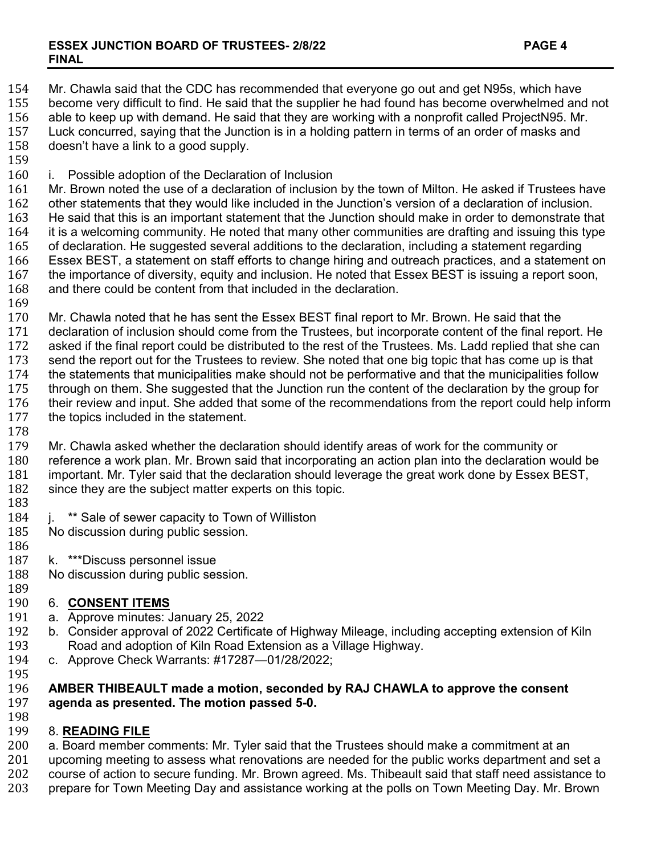154 Mr. Chawla said that the CDC has recommended that everyone go out and get N95s, which have<br>155 become very difficult to find. He said that the supplier he had found has become overwhelmed and 155 become very difficult to find. He said that the supplier he had found has become overwhelmed and not 156 able to keep up with demand. He said that they are working with a nonprofit called ProjectN95. Mr. 156 able to keep up with demand. He said that they are working with a nonprofit called ProjectN95. Mr. 157 Luck concurred, saying that the Junction is in a holding pattern in terms of an order of masks and 158 doesn't have a link to a good supply. doesn't have a link to a good supply. 159<br>160 160 i. Possible adoption of the Declaration of Inclusion 161 Mr. Brown noted the use of a declaration of inclusion by the town of Milton. He asked if Trustees have 162<br>162 other statements that they would like included in the Junction's version of a declaration of inclusion. 162 other statements that they would like included in the Junction's version of a declaration of inclusion.<br>163 He said that this is an important statement that the Junction should make in order to demonstrate th 163 He said that this is an important statement that the Junction should make in order to demonstrate that 164<br>164 it is a welcoming community. He noted that many other communities are drafting and issuing this type 164 it is a welcoming community. He noted that many other communities are drafting and issuing this type<br>165 of declaration. He suggested several additions to the declaration, including a statement regarding 165 of declaration. He suggested several additions to the declaration, including a statement regarding<br>166 Essex BEST, a statement on staff efforts to change hiring and outreach practices, and a statemen 166 Essex BEST, a statement on staff efforts to change hiring and outreach practices, and a statement on 167 the importance of diversity, equity and inclusion. He noted that Essex BEST is issuing a report soon. 167 the importance of diversity, equity and inclusion. He noted that Essex BEST is issuing a report soon, 168 and there could be content from that included in the declaration. and there could be content from that included in the declaration. 169<br>170 170 Mr. Chawla noted that he has sent the Essex BEST final report to Mr. Brown. He said that the 171 declaration of inclusion should come from the Trustees, but incorporate content of the final rep 171 declaration of inclusion should come from the Trustees, but incorporate content of the final report. He<br>172 asked if the final report could be distributed to the rest of the Trustees. Ms. Ladd replied that she can 172 asked if the final report could be distributed to the rest of the Trustees. Ms. Ladd replied that she can<br>173 send the report out for the Trustees to review. She noted that one big topic that has come up is that 173 send the report out for the Trustees to review. She noted that one big topic that has come up is that 174 the statements that municipalities follow 174 the statements that municipalities make should not be performative and that the municipalities follow<br>175 through on them. She suggested that the Junction run the content of the declaration by the group for 175 through on them. She suggested that the Junction run the content of the declaration by the group for<br>176 their review and input. She added that some of the recommendations from the report could help infor 176 their review and input. She added that some of the recommendations from the report could help inform 177 the topics included in the statement. the topics included in the statement. 178<br>179 179 Mr. Chawla asked whether the declaration should identify areas of work for the community or<br>180 Feference a work plan. Mr. Brown said that incorporating an action plan into the declaration w 180 reference a work plan. Mr. Brown said that incorporating an action plan into the declaration would be 181<br>181 important. Mr. Tyler said that the declaration should leverage the great work done by Essex BEST, 181 important. Mr. Tyler said that the declaration should leverage the great work done by Essex BEST, 182 since they are the subject matter experts on this topic. since they are the subject matter experts on this topic.

- 
- 183 184 j. \*\* Sale of sewer capacity to Town of Williston<br>185 No discussion during public session.
- No discussion during public session.
- 186<br>187 187 k. \*\*\*Discuss personnel issue<br>188 No discussion during public ses
- No discussion during public session.

# 189<br>190

- 190 6. **CONSENT ITEMS** 191 a. Approve minutes: January 25, 2022
- 192 b. Consider approval of 2022 Certificate of Highway Mileage, including accepting extension of Kiln<br>193 Boad and adoption of Kiln Road Extension as a Village Highway. 193 Road and adoption of Kiln Road Extension as a Village Highway.<br>194 C. Approve Check Warrants: #17287—01/28/2022:
- c. Approve Check Warrants: #17287—01/28/2022;

### 195<br>196 196 **AMBER THIBEAULT made a motion, seconded by RAJ CHAWLA to approve the consent**  agenda as presented. The motion passed 5-0.

198<br>199

## 199 8. **READING FILE**

200 a. Board member comments: Mr. Tyler said that the Trustees should make a commitment at an 201 upcoming meeting to assess what renovations are needed for the public works department and

201 upcoming meeting to assess what renovations are needed for the public works department and set a<br>202 course of action to secure funding. Mr. Brown agreed. Ms. Thibeault said that staff need assistance to

202 course of action to secure funding. Mr. Brown agreed. Ms. Thibeault said that staff need assistance to 203<br>203 prepare for Town Meeting Day and assistance working at the polls on Town Meeting Day. Mr. Brown 203 prepare for Town Meeting Day and assistance working at the polls on Town Meeting Day. Mr. Brown